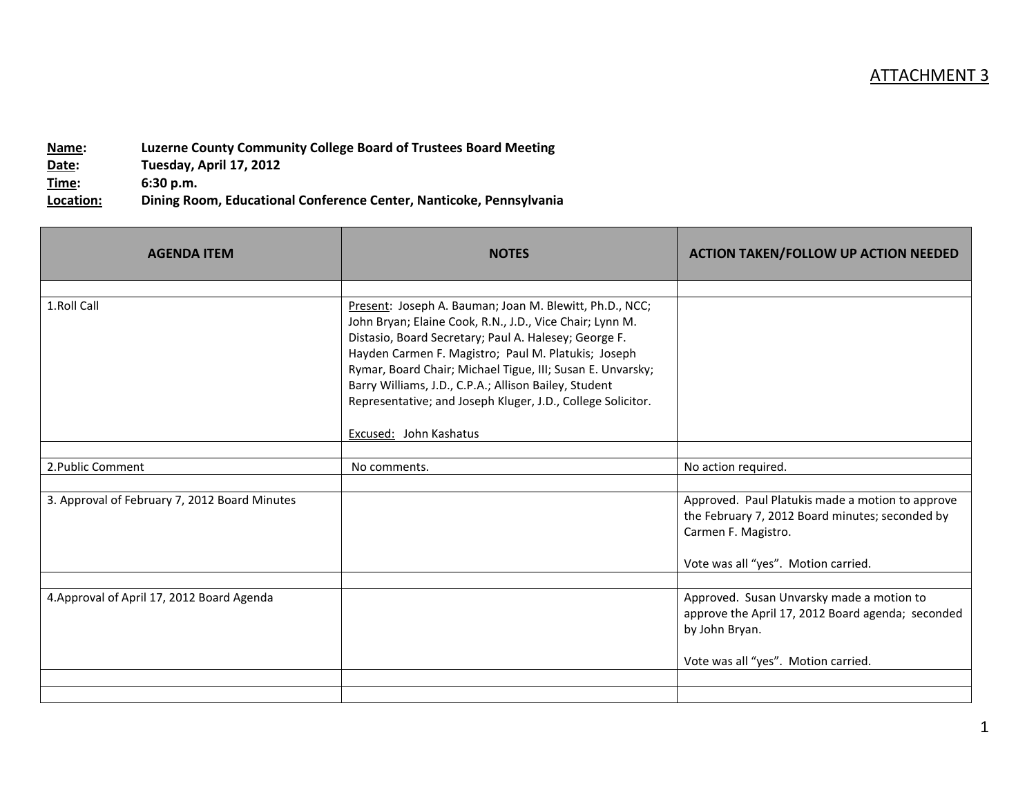| Name:     | Luzerne County Community College Board of Trustees Board Meeting    |
|-----------|---------------------------------------------------------------------|
| Date:     | Tuesday, April 17, 2012                                             |
| Time:     | 6:30 p.m.                                                           |
| Location: | Dining Room, Educational Conference Center, Nanticoke, Pennsylvania |

| <b>AGENDA ITEM</b>                            | <b>NOTES</b>                                                                                                                                                                                                                                                                                                                                                                                                              | <b>ACTION TAKEN/FOLLOW UP ACTION NEEDED</b>                                                                                |
|-----------------------------------------------|---------------------------------------------------------------------------------------------------------------------------------------------------------------------------------------------------------------------------------------------------------------------------------------------------------------------------------------------------------------------------------------------------------------------------|----------------------------------------------------------------------------------------------------------------------------|
|                                               |                                                                                                                                                                                                                                                                                                                                                                                                                           |                                                                                                                            |
| 1.Roll Call                                   | Present: Joseph A. Bauman; Joan M. Blewitt, Ph.D., NCC;<br>John Bryan; Elaine Cook, R.N., J.D., Vice Chair; Lynn M.<br>Distasio, Board Secretary; Paul A. Halesey; George F.<br>Hayden Carmen F. Magistro; Paul M. Platukis; Joseph<br>Rymar, Board Chair; Michael Tigue, III; Susan E. Unvarsky;<br>Barry Williams, J.D., C.P.A.; Allison Bailey, Student<br>Representative; and Joseph Kluger, J.D., College Solicitor. |                                                                                                                            |
|                                               | Excused: John Kashatus                                                                                                                                                                                                                                                                                                                                                                                                    |                                                                                                                            |
| 2. Public Comment                             | No comments.                                                                                                                                                                                                                                                                                                                                                                                                              | No action required.                                                                                                        |
| 3. Approval of February 7, 2012 Board Minutes |                                                                                                                                                                                                                                                                                                                                                                                                                           | Approved. Paul Platukis made a motion to approve<br>the February 7, 2012 Board minutes; seconded by<br>Carmen F. Magistro. |
|                                               |                                                                                                                                                                                                                                                                                                                                                                                                                           | Vote was all "yes". Motion carried.                                                                                        |
| 4. Approval of April 17, 2012 Board Agenda    |                                                                                                                                                                                                                                                                                                                                                                                                                           | Approved. Susan Unvarsky made a motion to<br>approve the April 17, 2012 Board agenda; seconded<br>by John Bryan.           |
|                                               |                                                                                                                                                                                                                                                                                                                                                                                                                           | Vote was all "yes". Motion carried.                                                                                        |
|                                               |                                                                                                                                                                                                                                                                                                                                                                                                                           |                                                                                                                            |
|                                               |                                                                                                                                                                                                                                                                                                                                                                                                                           |                                                                                                                            |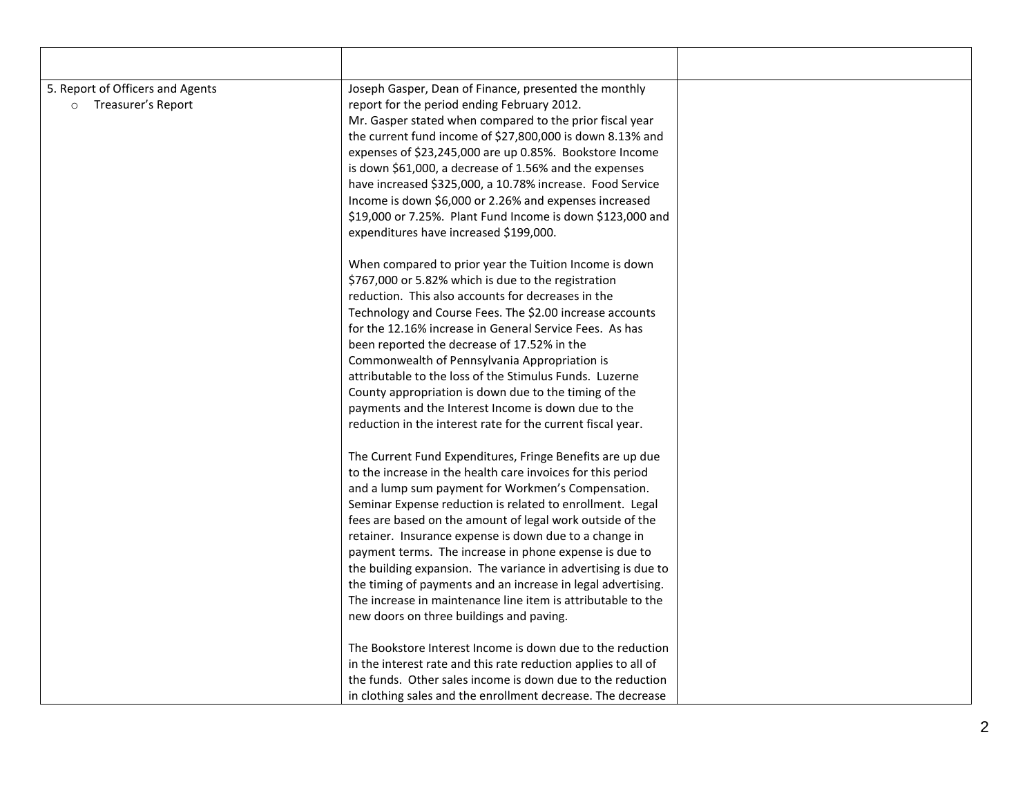| 5. Report of Officers and Agents | Joseph Gasper, Dean of Finance, presented the monthly          |  |
|----------------------------------|----------------------------------------------------------------|--|
| Treasurer's Report<br>$\circ$    | report for the period ending February 2012.                    |  |
|                                  | Mr. Gasper stated when compared to the prior fiscal year       |  |
|                                  | the current fund income of \$27,800,000 is down 8.13% and      |  |
|                                  | expenses of \$23,245,000 are up 0.85%. Bookstore Income        |  |
|                                  | is down \$61,000, a decrease of 1.56% and the expenses         |  |
|                                  | have increased \$325,000, a 10.78% increase. Food Service      |  |
|                                  | Income is down \$6,000 or 2.26% and expenses increased         |  |
|                                  | \$19,000 or 7.25%. Plant Fund Income is down \$123,000 and     |  |
|                                  | expenditures have increased \$199,000.                         |  |
|                                  | When compared to prior year the Tuition Income is down         |  |
|                                  | \$767,000 or 5.82% which is due to the registration            |  |
|                                  | reduction. This also accounts for decreases in the             |  |
|                                  | Technology and Course Fees. The \$2.00 increase accounts       |  |
|                                  | for the 12.16% increase in General Service Fees. As has        |  |
|                                  | been reported the decrease of 17.52% in the                    |  |
|                                  | Commonwealth of Pennsylvania Appropriation is                  |  |
|                                  | attributable to the loss of the Stimulus Funds. Luzerne        |  |
|                                  | County appropriation is down due to the timing of the          |  |
|                                  | payments and the Interest Income is down due to the            |  |
|                                  | reduction in the interest rate for the current fiscal year.    |  |
|                                  | The Current Fund Expenditures, Fringe Benefits are up due      |  |
|                                  | to the increase in the health care invoices for this period    |  |
|                                  | and a lump sum payment for Workmen's Compensation.             |  |
|                                  | Seminar Expense reduction is related to enrollment. Legal      |  |
|                                  | fees are based on the amount of legal work outside of the      |  |
|                                  | retainer. Insurance expense is down due to a change in         |  |
|                                  | payment terms. The increase in phone expense is due to         |  |
|                                  | the building expansion. The variance in advertising is due to  |  |
|                                  | the timing of payments and an increase in legal advertising.   |  |
|                                  | The increase in maintenance line item is attributable to the   |  |
|                                  | new doors on three buildings and paving.                       |  |
|                                  | The Bookstore Interest Income is down due to the reduction     |  |
|                                  | in the interest rate and this rate reduction applies to all of |  |
|                                  | the funds. Other sales income is down due to the reduction     |  |
|                                  | in clothing sales and the enrollment decrease. The decrease    |  |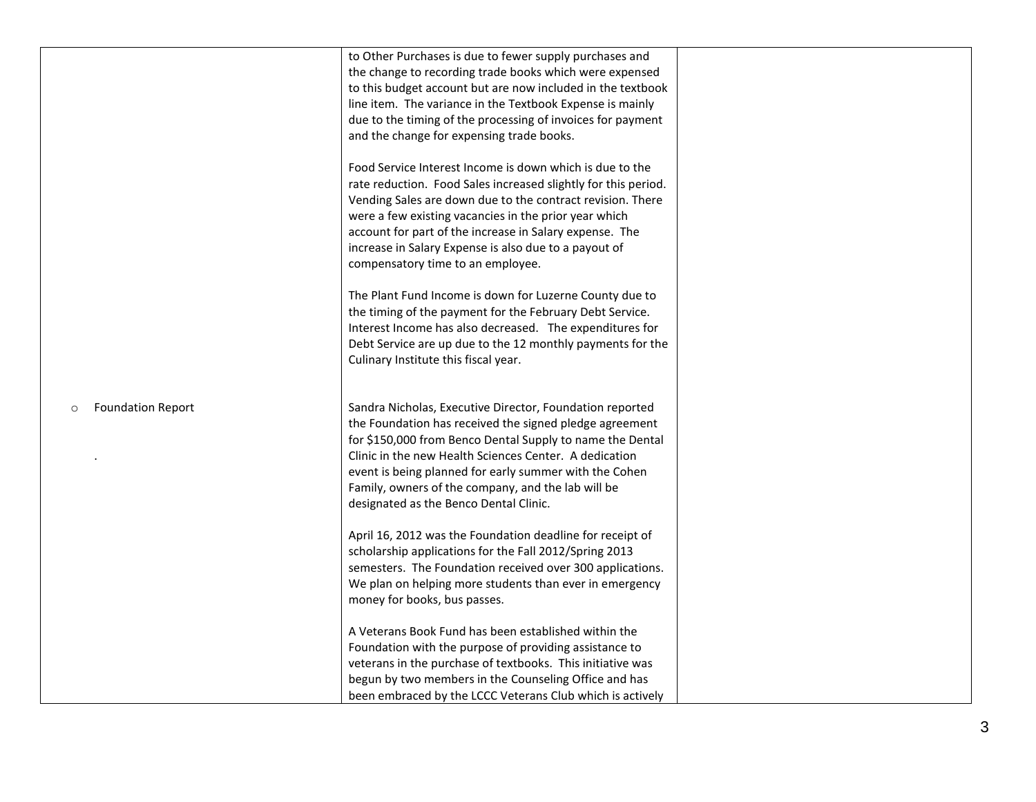|                                     | to Other Purchases is due to fewer supply purchases and<br>the change to recording trade books which were expensed<br>to this budget account but are now included in the textbook<br>line item. The variance in the Textbook Expense is mainly<br>due to the timing of the processing of invoices for payment<br>and the change for expensing trade books.<br>Food Service Interest Income is down which is due to the<br>rate reduction. Food Sales increased slightly for this period.<br>Vending Sales are down due to the contract revision. There<br>were a few existing vacancies in the prior year which<br>account for part of the increase in Salary expense. The<br>increase in Salary Expense is also due to a payout of<br>compensatory time to an employee.<br>The Plant Fund Income is down for Luzerne County due to<br>the timing of the payment for the February Debt Service.<br>Interest Income has also decreased. The expenditures for<br>Debt Service are up due to the 12 monthly payments for the<br>Culinary Institute this fiscal year. |  |
|-------------------------------------|-------------------------------------------------------------------------------------------------------------------------------------------------------------------------------------------------------------------------------------------------------------------------------------------------------------------------------------------------------------------------------------------------------------------------------------------------------------------------------------------------------------------------------------------------------------------------------------------------------------------------------------------------------------------------------------------------------------------------------------------------------------------------------------------------------------------------------------------------------------------------------------------------------------------------------------------------------------------------------------------------------------------------------------------------------------------|--|
| <b>Foundation Report</b><br>$\circ$ | Sandra Nicholas, Executive Director, Foundation reported<br>the Foundation has received the signed pledge agreement<br>for \$150,000 from Benco Dental Supply to name the Dental<br>Clinic in the new Health Sciences Center. A dedication<br>event is being planned for early summer with the Cohen<br>Family, owners of the company, and the lab will be<br>designated as the Benco Dental Clinic.<br>April 16, 2012 was the Foundation deadline for receipt of<br>scholarship applications for the Fall 2012/Spring 2013<br>semesters. The Foundation received over 300 applications.<br>We plan on helping more students than ever in emergency<br>money for books, bus passes.<br>A Veterans Book Fund has been established within the<br>Foundation with the purpose of providing assistance to<br>veterans in the purchase of textbooks. This initiative was<br>begun by two members in the Counseling Office and has<br>been embraced by the LCCC Veterans Club which is actively                                                                         |  |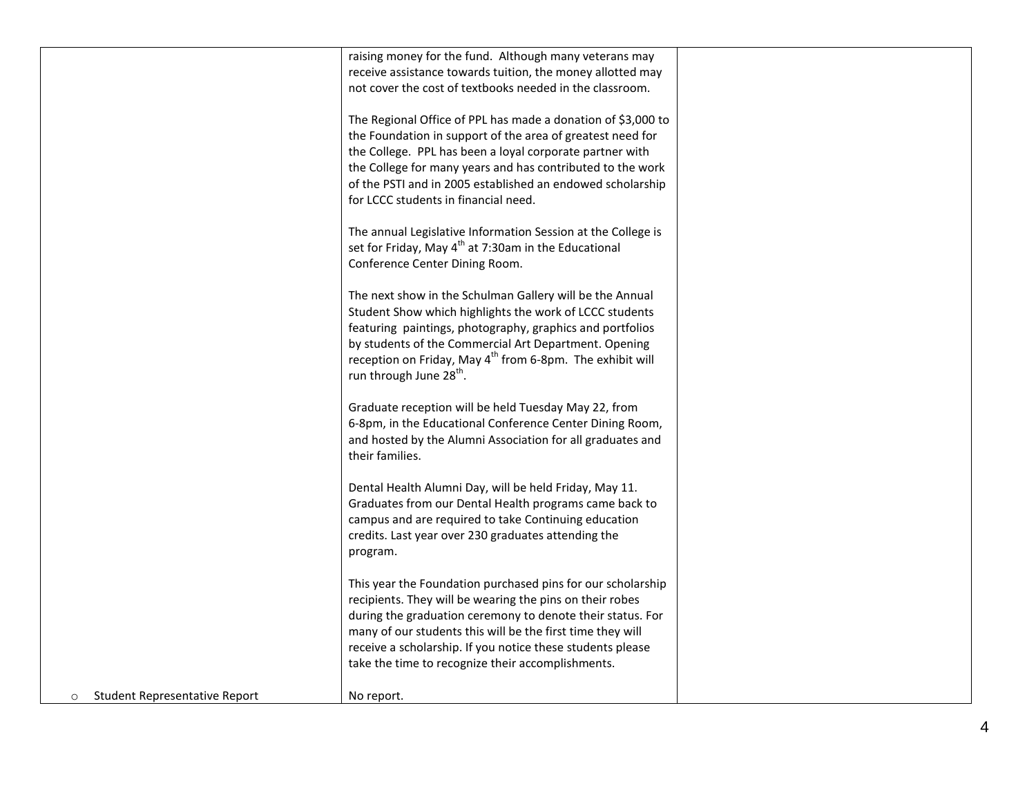|                                          | raising money for the fund. Although many veterans may                |  |
|------------------------------------------|-----------------------------------------------------------------------|--|
|                                          | receive assistance towards tuition, the money allotted may            |  |
|                                          | not cover the cost of textbooks needed in the classroom.              |  |
|                                          |                                                                       |  |
|                                          | The Regional Office of PPL has made a donation of \$3,000 to          |  |
|                                          | the Foundation in support of the area of greatest need for            |  |
|                                          | the College. PPL has been a loyal corporate partner with              |  |
|                                          | the College for many years and has contributed to the work            |  |
|                                          | of the PSTI and in 2005 established an endowed scholarship            |  |
|                                          | for LCCC students in financial need.                                  |  |
|                                          |                                                                       |  |
|                                          | The annual Legislative Information Session at the College is          |  |
|                                          | set for Friday, May 4 <sup>th</sup> at 7:30am in the Educational      |  |
|                                          | Conference Center Dining Room.                                        |  |
|                                          |                                                                       |  |
|                                          | The next show in the Schulman Gallery will be the Annual              |  |
|                                          | Student Show which highlights the work of LCCC students               |  |
|                                          | featuring paintings, photography, graphics and portfolios             |  |
|                                          | by students of the Commercial Art Department. Opening                 |  |
|                                          | reception on Friday, May 4 <sup>th</sup> from 6-8pm. The exhibit will |  |
|                                          | run through June 28 <sup>th</sup> .                                   |  |
|                                          |                                                                       |  |
|                                          | Graduate reception will be held Tuesday May 22, from                  |  |
|                                          | 6-8pm, in the Educational Conference Center Dining Room,              |  |
|                                          | and hosted by the Alumni Association for all graduates and            |  |
|                                          | their families.                                                       |  |
|                                          |                                                                       |  |
|                                          | Dental Health Alumni Day, will be held Friday, May 11.                |  |
|                                          | Graduates from our Dental Health programs came back to                |  |
|                                          |                                                                       |  |
|                                          | campus and are required to take Continuing education                  |  |
|                                          | credits. Last year over 230 graduates attending the                   |  |
|                                          | program.                                                              |  |
|                                          |                                                                       |  |
|                                          | This year the Foundation purchased pins for our scholarship           |  |
|                                          | recipients. They will be wearing the pins on their robes              |  |
|                                          | during the graduation ceremony to denote their status. For            |  |
|                                          | many of our students this will be the first time they will            |  |
|                                          | receive a scholarship. If you notice these students please            |  |
|                                          | take the time to recognize their accomplishments.                     |  |
|                                          |                                                                       |  |
| Student Representative Report<br>$\circ$ | No report.                                                            |  |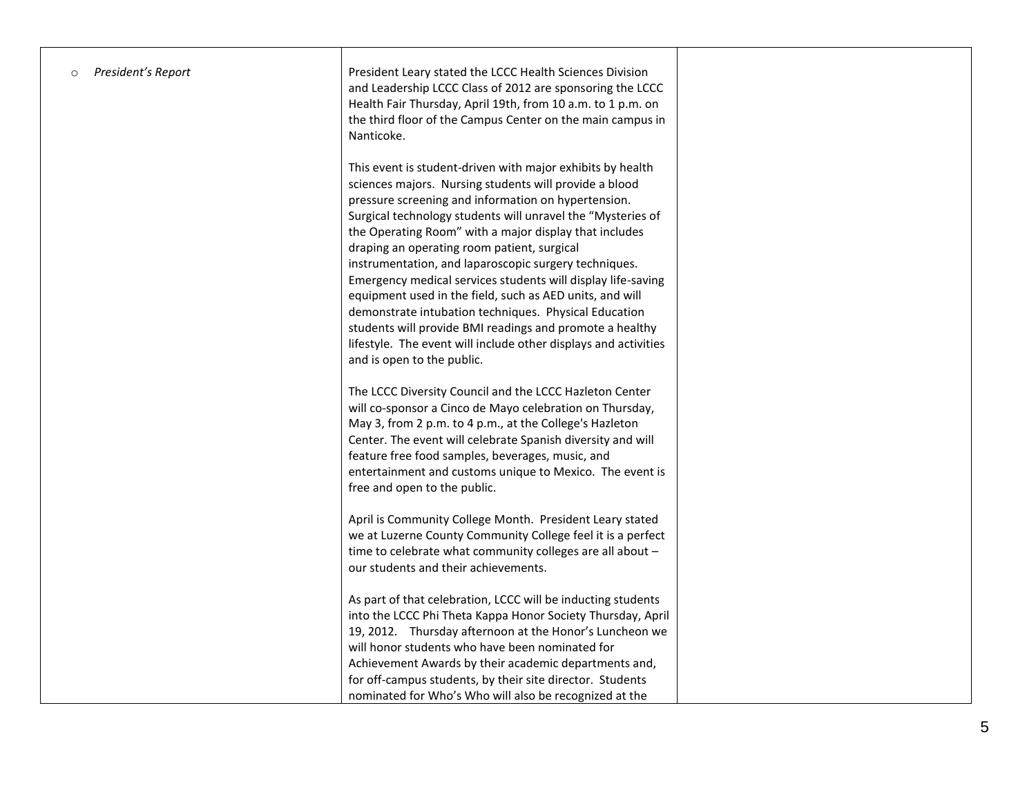| President's Report<br>$\circ$ | President Leary stated the LCCC Health Sciences Division<br>and Leadership LCCC Class of 2012 are sponsoring the LCCC<br>Health Fair Thursday, April 19th, from 10 a.m. to 1 p.m. on<br>the third floor of the Campus Center on the main campus in<br>Nanticoke.                                                                                                                                                                                                                                                                                                                                                                                                                                                                                               |  |
|-------------------------------|----------------------------------------------------------------------------------------------------------------------------------------------------------------------------------------------------------------------------------------------------------------------------------------------------------------------------------------------------------------------------------------------------------------------------------------------------------------------------------------------------------------------------------------------------------------------------------------------------------------------------------------------------------------------------------------------------------------------------------------------------------------|--|
|                               | This event is student-driven with major exhibits by health<br>sciences majors. Nursing students will provide a blood<br>pressure screening and information on hypertension.<br>Surgical technology students will unravel the "Mysteries of<br>the Operating Room" with a major display that includes<br>draping an operating room patient, surgical<br>instrumentation, and laparoscopic surgery techniques.<br>Emergency medical services students will display life-saving<br>equipment used in the field, such as AED units, and will<br>demonstrate intubation techniques. Physical Education<br>students will provide BMI readings and promote a healthy<br>lifestyle. The event will include other displays and activities<br>and is open to the public. |  |
|                               | The LCCC Diversity Council and the LCCC Hazleton Center<br>will co-sponsor a Cinco de Mayo celebration on Thursday,<br>May 3, from 2 p.m. to 4 p.m., at the College's Hazleton<br>Center. The event will celebrate Spanish diversity and will<br>feature free food samples, beverages, music, and<br>entertainment and customs unique to Mexico. The event is<br>free and open to the public.                                                                                                                                                                                                                                                                                                                                                                  |  |
|                               | April is Community College Month. President Leary stated<br>we at Luzerne County Community College feel it is a perfect<br>time to celebrate what community colleges are all about -<br>our students and their achievements.                                                                                                                                                                                                                                                                                                                                                                                                                                                                                                                                   |  |
|                               | As part of that celebration, LCCC will be inducting students<br>into the LCCC Phi Theta Kappa Honor Society Thursday, April<br>19, 2012. Thursday afternoon at the Honor's Luncheon we<br>will honor students who have been nominated for<br>Achievement Awards by their academic departments and,<br>for off-campus students, by their site director. Students<br>nominated for Who's Who will also be recognized at the                                                                                                                                                                                                                                                                                                                                      |  |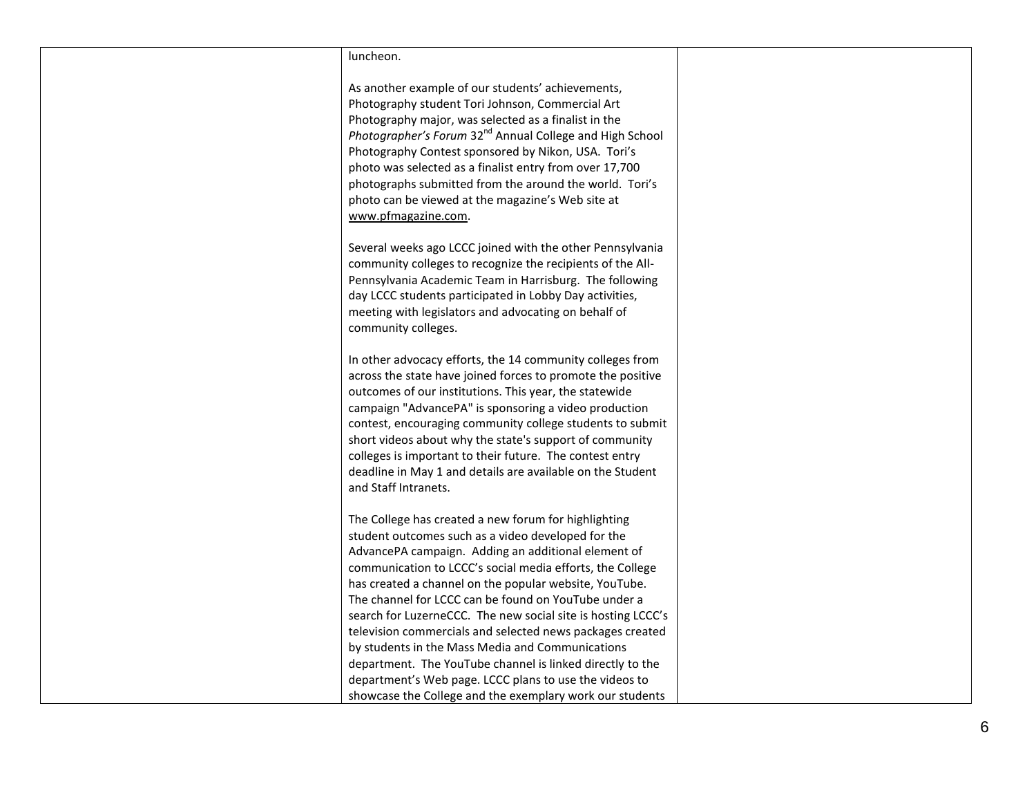## luncheon.

As another example of our students' achievements, Photography student Tori Johnson, Commercial Art Photography major, was selected as a finalist in the Photographer's Forum 32<sup>nd</sup> Annual College and High School Photography Contest sponsored by Nikon, USA. Tori's photo was selected as a finalist entry from over 17,700 photographs submitted from the around the world. Tori's photo can be viewed at the magazine's Web site at [www.pfmagazine.com.](http://www.pfmagazine.com/) 

Several weeks ago LCCC joined with the other Pennsylvania community colleges to recognize the recipients of the All - Pennsylvania Academic Team in Harrisburg. The following day LCCC students participated in Lobby Day activities, meeting with legislators and advocating on behalf of community colleges.

In other advocacy efforts, the 14 community colleges from across the state have joined forces to promote the positive outcomes of our institutions. This year, the statewide campaign "AdvancePA" is sponsoring a video production contest, encouraging community college students to submit short videos about why the state's support of community colleges is important to their future. The contest entry deadline in May 1 and details are available on the Student and Staff Intranets.

The College has created a new forum for highlighting student outcomes such as a video developed for the AdvancePA campaign. Adding an additional element of communication to LCCC's social media efforts, the College has created a channel on the popular website, YouTube. The channel for LCCC can be found on YouTube under a search for LuzerneCCC. The new social site is hosting LCCC's television commercials and selected news packages created by students in the Mass Media and Communications department. The YouTube channel is linked directly to the department's Web page. LCCC plans to use the videos to showcase the College and the exemplary work our students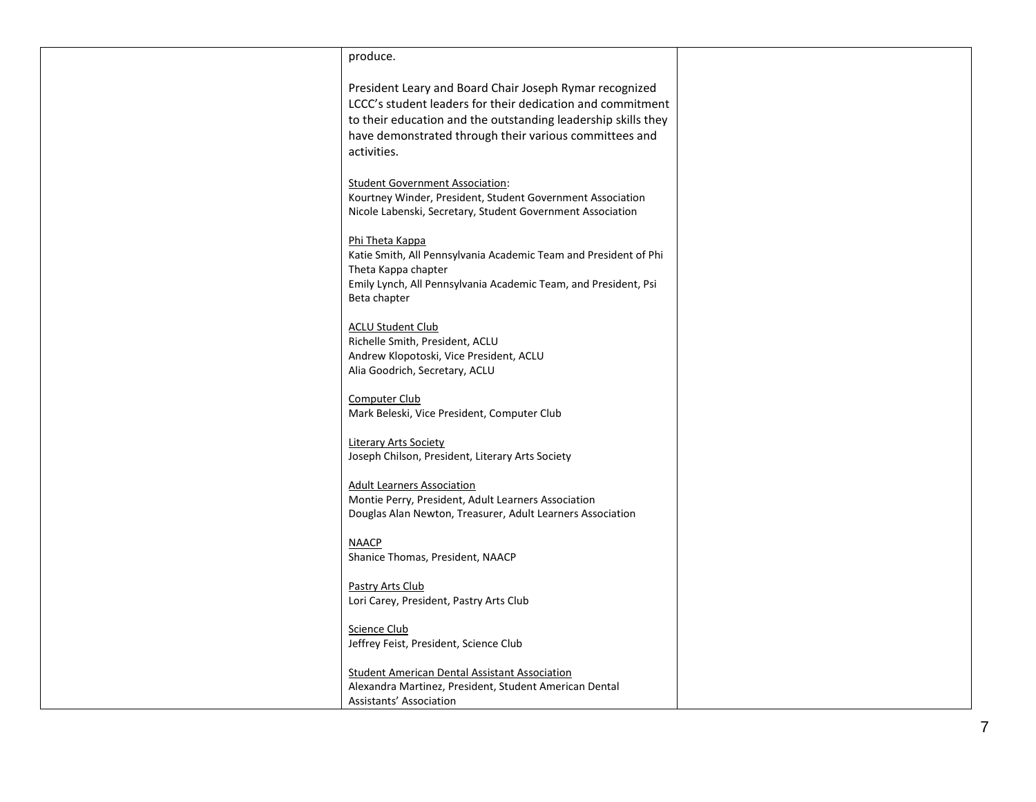| produce.                                                                                                                                                                                                                                                        |  |
|-----------------------------------------------------------------------------------------------------------------------------------------------------------------------------------------------------------------------------------------------------------------|--|
| President Leary and Board Chair Joseph Rymar recognized<br>LCCC's student leaders for their dedication and commitment<br>to their education and the outstanding leadership skills they<br>have demonstrated through their various committees and<br>activities. |  |
| <b>Student Government Association:</b><br>Kourtney Winder, President, Student Government Association<br>Nicole Labenski, Secretary, Student Government Association                                                                                              |  |
| Phi Theta Kappa<br>Katie Smith, All Pennsylvania Academic Team and President of Phi<br>Theta Kappa chapter<br>Emily Lynch, All Pennsylvania Academic Team, and President, Psi<br>Beta chapter                                                                   |  |
| <b>ACLU Student Club</b><br>Richelle Smith, President, ACLU<br>Andrew Klopotoski, Vice President, ACLU<br>Alia Goodrich, Secretary, ACLU                                                                                                                        |  |
| Computer Club<br>Mark Beleski, Vice President, Computer Club                                                                                                                                                                                                    |  |
| <b>Literary Arts Society</b><br>Joseph Chilson, President, Literary Arts Society                                                                                                                                                                                |  |
| <b>Adult Learners Association</b><br>Montie Perry, President, Adult Learners Association<br>Douglas Alan Newton, Treasurer, Adult Learners Association                                                                                                          |  |
| <b>NAACP</b><br>Shanice Thomas, President, NAACP                                                                                                                                                                                                                |  |
| <b>Pastry Arts Club</b><br>Lori Carey, President, Pastry Arts Club                                                                                                                                                                                              |  |
| Science Club<br>Jeffrey Feist, President, Science Club                                                                                                                                                                                                          |  |
| <b>Student American Dental Assistant Association</b><br>Alexandra Martinez, President, Student American Dental<br>Assistants' Association                                                                                                                       |  |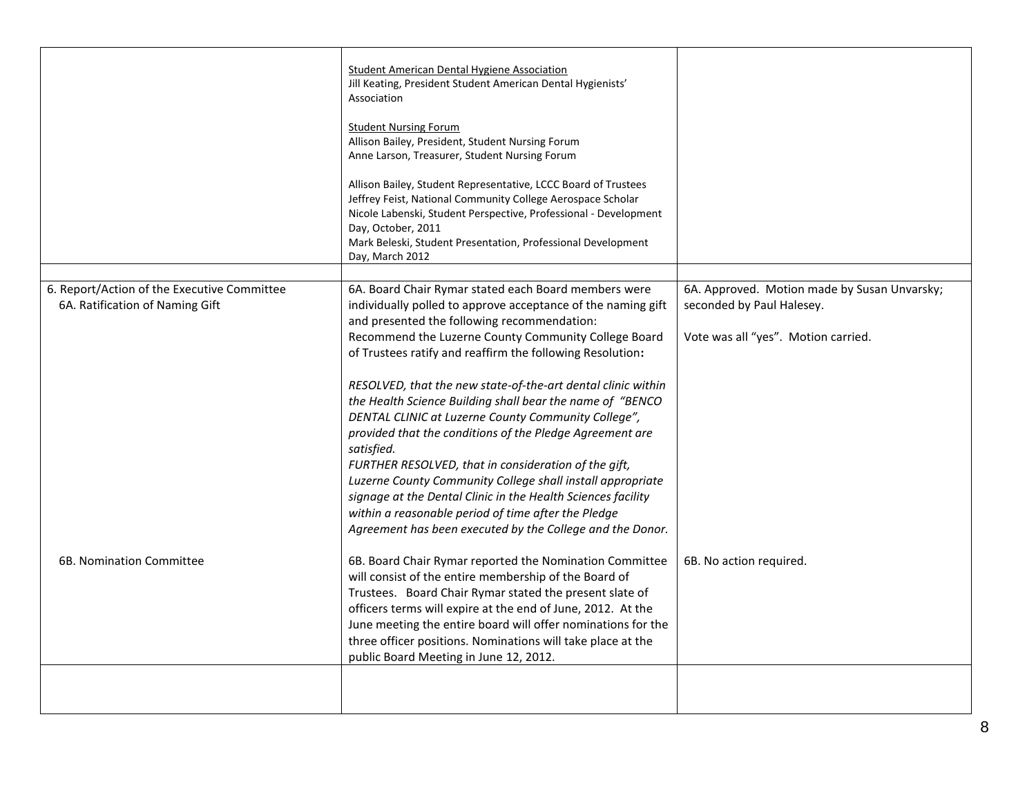|                                                                                | Student American Dental Hygiene Association<br>Jill Keating, President Student American Dental Hygienists'<br>Association<br><b>Student Nursing Forum</b><br>Allison Bailey, President, Student Nursing Forum<br>Anne Larson, Treasurer, Student Nursing Forum<br>Allison Bailey, Student Representative, LCCC Board of Trustees<br>Jeffrey Feist, National Community College Aerospace Scholar<br>Nicole Labenski, Student Perspective, Professional - Development<br>Day, October, 2011<br>Mark Beleski, Student Presentation, Professional Development<br>Day, March 2012                                                                                                                                                                                                                                                                                     |                                                                                                                  |
|--------------------------------------------------------------------------------|------------------------------------------------------------------------------------------------------------------------------------------------------------------------------------------------------------------------------------------------------------------------------------------------------------------------------------------------------------------------------------------------------------------------------------------------------------------------------------------------------------------------------------------------------------------------------------------------------------------------------------------------------------------------------------------------------------------------------------------------------------------------------------------------------------------------------------------------------------------|------------------------------------------------------------------------------------------------------------------|
| 6. Report/Action of the Executive Committee<br>6A. Ratification of Naming Gift | 6A. Board Chair Rymar stated each Board members were<br>individually polled to approve acceptance of the naming gift<br>and presented the following recommendation:<br>Recommend the Luzerne County Community College Board<br>of Trustees ratify and reaffirm the following Resolution:<br>RESOLVED, that the new state-of-the-art dental clinic within<br>the Health Science Building shall bear the name of "BENCO<br>DENTAL CLINIC at Luzerne County Community College",<br>provided that the conditions of the Pledge Agreement are<br>satisfied.<br>FURTHER RESOLVED, that in consideration of the gift,<br>Luzerne County Community College shall install appropriate<br>signage at the Dental Clinic in the Health Sciences facility<br>within a reasonable period of time after the Pledge<br>Agreement has been executed by the College and the Donor. | 6A. Approved. Motion made by Susan Unvarsky;<br>seconded by Paul Halesey.<br>Vote was all "yes". Motion carried. |
| 6B. Nomination Committee                                                       | 6B. Board Chair Rymar reported the Nomination Committee<br>will consist of the entire membership of the Board of<br>Trustees. Board Chair Rymar stated the present slate of<br>officers terms will expire at the end of June, 2012. At the<br>June meeting the entire board will offer nominations for the<br>three officer positions. Nominations will take place at the<br>public Board Meeting in June 12, 2012.                                                                                                                                                                                                                                                                                                                                                                                                                                              | 6B. No action required.                                                                                          |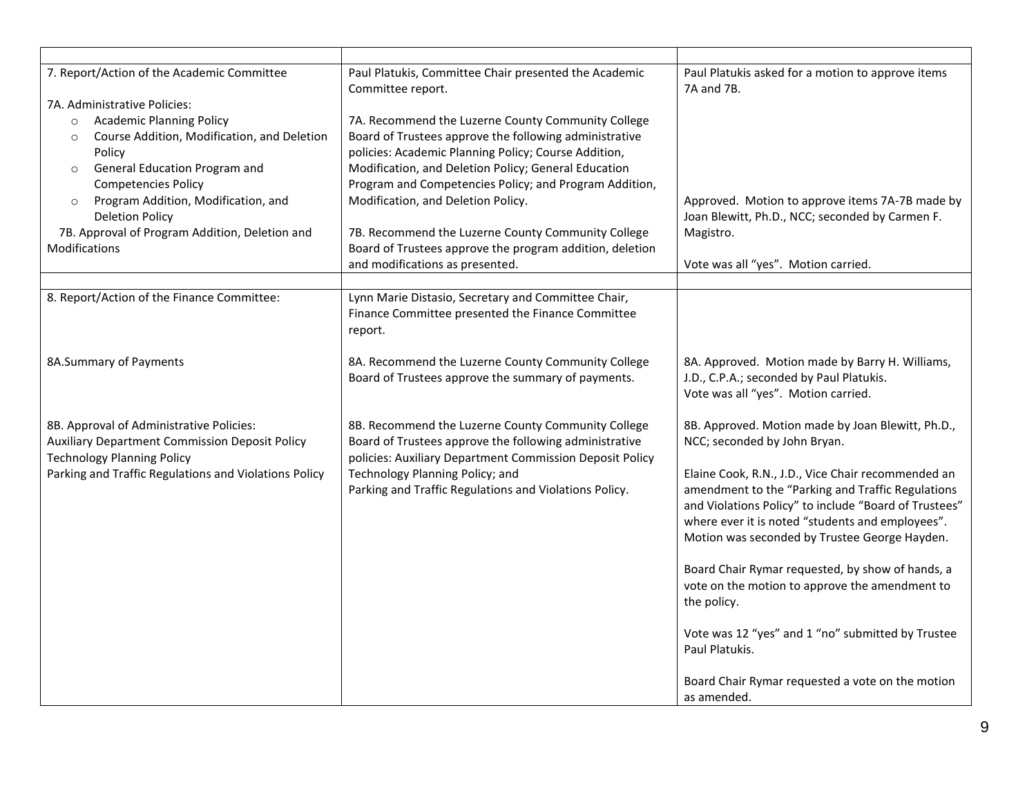| 7. Report/Action of the Academic Committee<br>7A. Administrative Policies:<br><b>Academic Planning Policy</b><br>$\circ$<br>Course Addition, Modification, and Deletion<br>$\circ$<br>Policy<br>General Education Program and<br>$\circ$<br><b>Competencies Policy</b><br>Program Addition, Modification, and<br>$\circ$<br><b>Deletion Policy</b><br>7B. Approval of Program Addition, Deletion and<br>Modifications | Paul Platukis, Committee Chair presented the Academic<br>Committee report.<br>7A. Recommend the Luzerne County Community College<br>Board of Trustees approve the following administrative<br>policies: Academic Planning Policy; Course Addition,<br>Modification, and Deletion Policy; General Education<br>Program and Competencies Policy; and Program Addition,<br>Modification, and Deletion Policy.<br>7B. Recommend the Luzerne County Community College<br>Board of Trustees approve the program addition, deletion<br>and modifications as presented. | Paul Platukis asked for a motion to approve items<br>7A and 7B.<br>Approved. Motion to approve items 7A-7B made by<br>Joan Blewitt, Ph.D., NCC; seconded by Carmen F.<br>Magistro.<br>Vote was all "yes". Motion carried.                                                                                                                                  |
|-----------------------------------------------------------------------------------------------------------------------------------------------------------------------------------------------------------------------------------------------------------------------------------------------------------------------------------------------------------------------------------------------------------------------|-----------------------------------------------------------------------------------------------------------------------------------------------------------------------------------------------------------------------------------------------------------------------------------------------------------------------------------------------------------------------------------------------------------------------------------------------------------------------------------------------------------------------------------------------------------------|------------------------------------------------------------------------------------------------------------------------------------------------------------------------------------------------------------------------------------------------------------------------------------------------------------------------------------------------------------|
|                                                                                                                                                                                                                                                                                                                                                                                                                       |                                                                                                                                                                                                                                                                                                                                                                                                                                                                                                                                                                 |                                                                                                                                                                                                                                                                                                                                                            |
| 8. Report/Action of the Finance Committee:                                                                                                                                                                                                                                                                                                                                                                            | Lynn Marie Distasio, Secretary and Committee Chair,<br>Finance Committee presented the Finance Committee<br>report.                                                                                                                                                                                                                                                                                                                                                                                                                                             |                                                                                                                                                                                                                                                                                                                                                            |
| 8A.Summary of Payments                                                                                                                                                                                                                                                                                                                                                                                                | 8A. Recommend the Luzerne County Community College<br>Board of Trustees approve the summary of payments.                                                                                                                                                                                                                                                                                                                                                                                                                                                        | 8A. Approved. Motion made by Barry H. Williams,<br>J.D., C.P.A.; seconded by Paul Platukis.<br>Vote was all "yes". Motion carried.                                                                                                                                                                                                                         |
| 8B. Approval of Administrative Policies:<br>Auxiliary Department Commission Deposit Policy<br><b>Technology Planning Policy</b><br>Parking and Traffic Regulations and Violations Policy                                                                                                                                                                                                                              | 8B. Recommend the Luzerne County Community College<br>Board of Trustees approve the following administrative<br>policies: Auxiliary Department Commission Deposit Policy<br>Technology Planning Policy; and<br>Parking and Traffic Regulations and Violations Policy.                                                                                                                                                                                                                                                                                           | 8B. Approved. Motion made by Joan Blewitt, Ph.D.,<br>NCC; seconded by John Bryan.<br>Elaine Cook, R.N., J.D., Vice Chair recommended an<br>amendment to the "Parking and Traffic Regulations<br>and Violations Policy" to include "Board of Trustees"<br>where ever it is noted "students and employees".<br>Motion was seconded by Trustee George Hayden. |
|                                                                                                                                                                                                                                                                                                                                                                                                                       |                                                                                                                                                                                                                                                                                                                                                                                                                                                                                                                                                                 | Board Chair Rymar requested, by show of hands, a<br>vote on the motion to approve the amendment to<br>the policy.<br>Vote was 12 "yes" and 1 "no" submitted by Trustee                                                                                                                                                                                     |
|                                                                                                                                                                                                                                                                                                                                                                                                                       |                                                                                                                                                                                                                                                                                                                                                                                                                                                                                                                                                                 | Paul Platukis.<br>Board Chair Rymar requested a vote on the motion<br>as amended.                                                                                                                                                                                                                                                                          |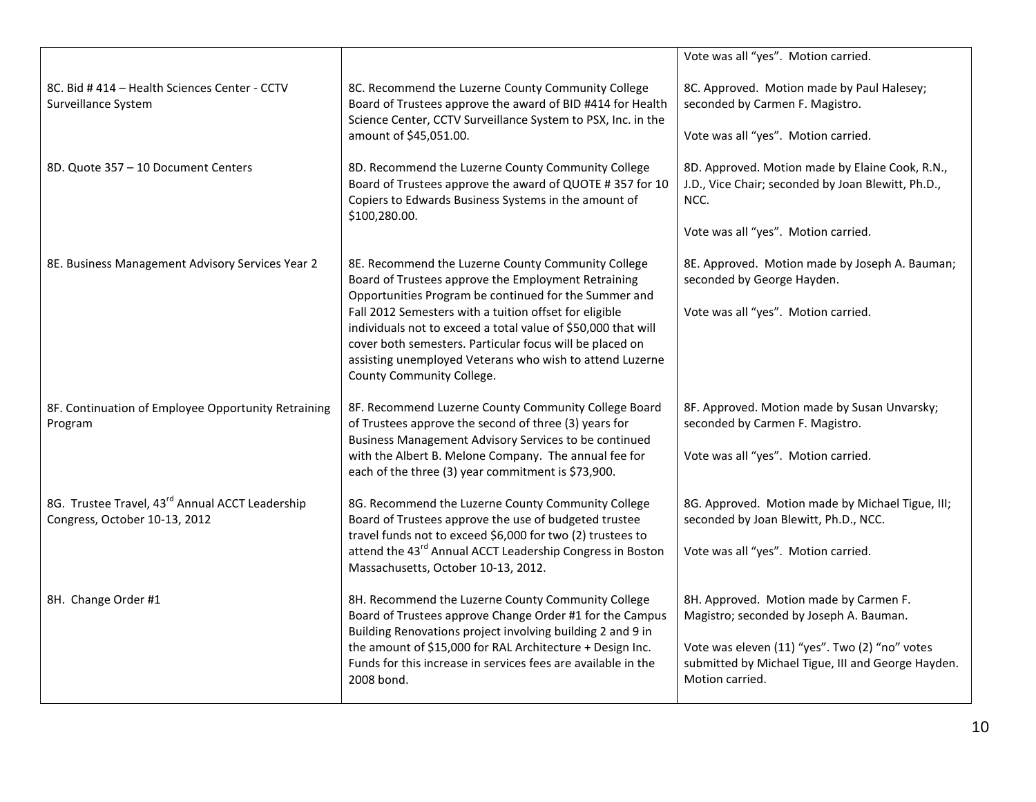|                                                                                  |                                                                                                                                                                                                                                                                                                                                                                                                                                                    | Vote was all "yes". Motion carried.                                                                                                                                                                          |
|----------------------------------------------------------------------------------|----------------------------------------------------------------------------------------------------------------------------------------------------------------------------------------------------------------------------------------------------------------------------------------------------------------------------------------------------------------------------------------------------------------------------------------------------|--------------------------------------------------------------------------------------------------------------------------------------------------------------------------------------------------------------|
| 8C. Bid #414 - Health Sciences Center - CCTV<br>Surveillance System              | 8C. Recommend the Luzerne County Community College<br>Board of Trustees approve the award of BID #414 for Health<br>Science Center, CCTV Surveillance System to PSX, Inc. in the<br>amount of \$45,051.00.                                                                                                                                                                                                                                         | 8C. Approved. Motion made by Paul Halesey;<br>seconded by Carmen F. Magistro.<br>Vote was all "yes". Motion carried.                                                                                         |
| 8D. Quote 357 - 10 Document Centers                                              | 8D. Recommend the Luzerne County Community College<br>Board of Trustees approve the award of QUOTE #357 for 10<br>Copiers to Edwards Business Systems in the amount of<br>\$100,280.00.                                                                                                                                                                                                                                                            | 8D. Approved. Motion made by Elaine Cook, R.N.,<br>J.D., Vice Chair; seconded by Joan Blewitt, Ph.D.,<br>NCC.<br>Vote was all "yes". Motion carried.                                                         |
| 8E. Business Management Advisory Services Year 2                                 | 8E. Recommend the Luzerne County Community College<br>Board of Trustees approve the Employment Retraining<br>Opportunities Program be continued for the Summer and<br>Fall 2012 Semesters with a tuition offset for eligible<br>individuals not to exceed a total value of \$50,000 that will<br>cover both semesters. Particular focus will be placed on<br>assisting unemployed Veterans who wish to attend Luzerne<br>County Community College. | 8E. Approved. Motion made by Joseph A. Bauman;<br>seconded by George Hayden.<br>Vote was all "yes". Motion carried.                                                                                          |
| 8F. Continuation of Employee Opportunity Retraining<br>Program                   | 8F. Recommend Luzerne County Community College Board<br>of Trustees approve the second of three (3) years for<br>Business Management Advisory Services to be continued<br>with the Albert B. Melone Company. The annual fee for<br>each of the three (3) year commitment is \$73,900.                                                                                                                                                              | 8F. Approved. Motion made by Susan Unvarsky;<br>seconded by Carmen F. Magistro.<br>Vote was all "yes". Motion carried.                                                                                       |
| 8G. Trustee Travel, 43rd Annual ACCT Leadership<br>Congress, October 10-13, 2012 | 8G. Recommend the Luzerne County Community College<br>Board of Trustees approve the use of budgeted trustee<br>travel funds not to exceed \$6,000 for two (2) trustees to<br>attend the 43rd Annual ACCT Leadership Congress in Boston<br>Massachusetts, October 10-13, 2012.                                                                                                                                                                      | 8G. Approved. Motion made by Michael Tigue, III;<br>seconded by Joan Blewitt, Ph.D., NCC.<br>Vote was all "yes". Motion carried.                                                                             |
| 8H. Change Order #1                                                              | 8H. Recommend the Luzerne County Community College<br>Board of Trustees approve Change Order #1 for the Campus<br>Building Renovations project involving building 2 and 9 in<br>the amount of \$15,000 for RAL Architecture + Design Inc.<br>Funds for this increase in services fees are available in the<br>2008 bond.                                                                                                                           | 8H. Approved. Motion made by Carmen F.<br>Magistro; seconded by Joseph A. Bauman.<br>Vote was eleven (11) "yes". Two (2) "no" votes<br>submitted by Michael Tigue, III and George Hayden.<br>Motion carried. |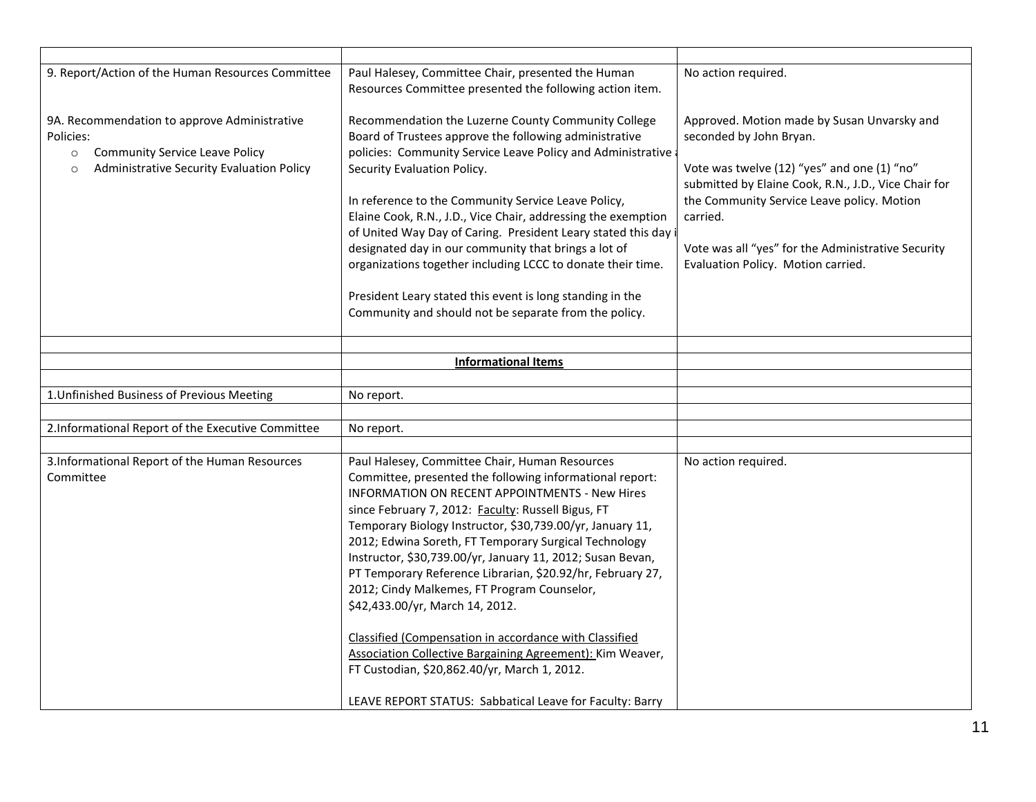| 9. Report/Action of the Human Resources Committee                                                                                                                     | Paul Halesey, Committee Chair, presented the Human<br>Resources Committee presented the following action item.                                                                                                                                                                                                                                                                                                                                                                                                                                                                                                                                                                                                                                                                                          | No action required.                                                                                                                                                                                                                                                                                                                 |
|-----------------------------------------------------------------------------------------------------------------------------------------------------------------------|---------------------------------------------------------------------------------------------------------------------------------------------------------------------------------------------------------------------------------------------------------------------------------------------------------------------------------------------------------------------------------------------------------------------------------------------------------------------------------------------------------------------------------------------------------------------------------------------------------------------------------------------------------------------------------------------------------------------------------------------------------------------------------------------------------|-------------------------------------------------------------------------------------------------------------------------------------------------------------------------------------------------------------------------------------------------------------------------------------------------------------------------------------|
| 9A. Recommendation to approve Administrative<br>Policies:<br><b>Community Service Leave Policy</b><br>$\circ$<br>Administrative Security Evaluation Policy<br>$\circ$ | Recommendation the Luzerne County Community College<br>Board of Trustees approve the following administrative<br>policies: Community Service Leave Policy and Administrative<br>Security Evaluation Policy.<br>In reference to the Community Service Leave Policy,<br>Elaine Cook, R.N., J.D., Vice Chair, addressing the exemption<br>of United Way Day of Caring. President Leary stated this day<br>designated day in our community that brings a lot of<br>organizations together including LCCC to donate their time.<br>President Leary stated this event is long standing in the<br>Community and should not be separate from the policy.                                                                                                                                                        | Approved. Motion made by Susan Unvarsky and<br>seconded by John Bryan.<br>Vote was twelve (12) "yes" and one (1) "no"<br>submitted by Elaine Cook, R.N., J.D., Vice Chair for<br>the Community Service Leave policy. Motion<br>carried.<br>Vote was all "yes" for the Administrative Security<br>Evaluation Policy. Motion carried. |
|                                                                                                                                                                       | <b>Informational Items</b>                                                                                                                                                                                                                                                                                                                                                                                                                                                                                                                                                                                                                                                                                                                                                                              |                                                                                                                                                                                                                                                                                                                                     |
|                                                                                                                                                                       |                                                                                                                                                                                                                                                                                                                                                                                                                                                                                                                                                                                                                                                                                                                                                                                                         |                                                                                                                                                                                                                                                                                                                                     |
| 1. Unfinished Business of Previous Meeting                                                                                                                            | No report.                                                                                                                                                                                                                                                                                                                                                                                                                                                                                                                                                                                                                                                                                                                                                                                              |                                                                                                                                                                                                                                                                                                                                     |
|                                                                                                                                                                       |                                                                                                                                                                                                                                                                                                                                                                                                                                                                                                                                                                                                                                                                                                                                                                                                         |                                                                                                                                                                                                                                                                                                                                     |
| 2.Informational Report of the Executive Committee                                                                                                                     | No report.                                                                                                                                                                                                                                                                                                                                                                                                                                                                                                                                                                                                                                                                                                                                                                                              |                                                                                                                                                                                                                                                                                                                                     |
| 3. Informational Report of the Human Resources<br>Committee                                                                                                           | Paul Halesey, Committee Chair, Human Resources<br>Committee, presented the following informational report:<br><b>INFORMATION ON RECENT APPOINTMENTS - New Hires</b><br>since February 7, 2012: Faculty: Russell Bigus, FT<br>Temporary Biology Instructor, \$30,739.00/yr, January 11,<br>2012; Edwina Soreth, FT Temporary Surgical Technology<br>Instructor, \$30,739.00/yr, January 11, 2012; Susan Bevan,<br>PT Temporary Reference Librarian, \$20.92/hr, February 27,<br>2012; Cindy Malkemes, FT Program Counselor,<br>\$42,433.00/yr, March 14, 2012.<br>Classified (Compensation in accordance with Classified<br><b>Association Collective Bargaining Agreement): Kim Weaver,</b><br>FT Custodian, \$20,862.40/yr, March 1, 2012.<br>LEAVE REPORT STATUS: Sabbatical Leave for Faculty: Barry | No action required.                                                                                                                                                                                                                                                                                                                 |